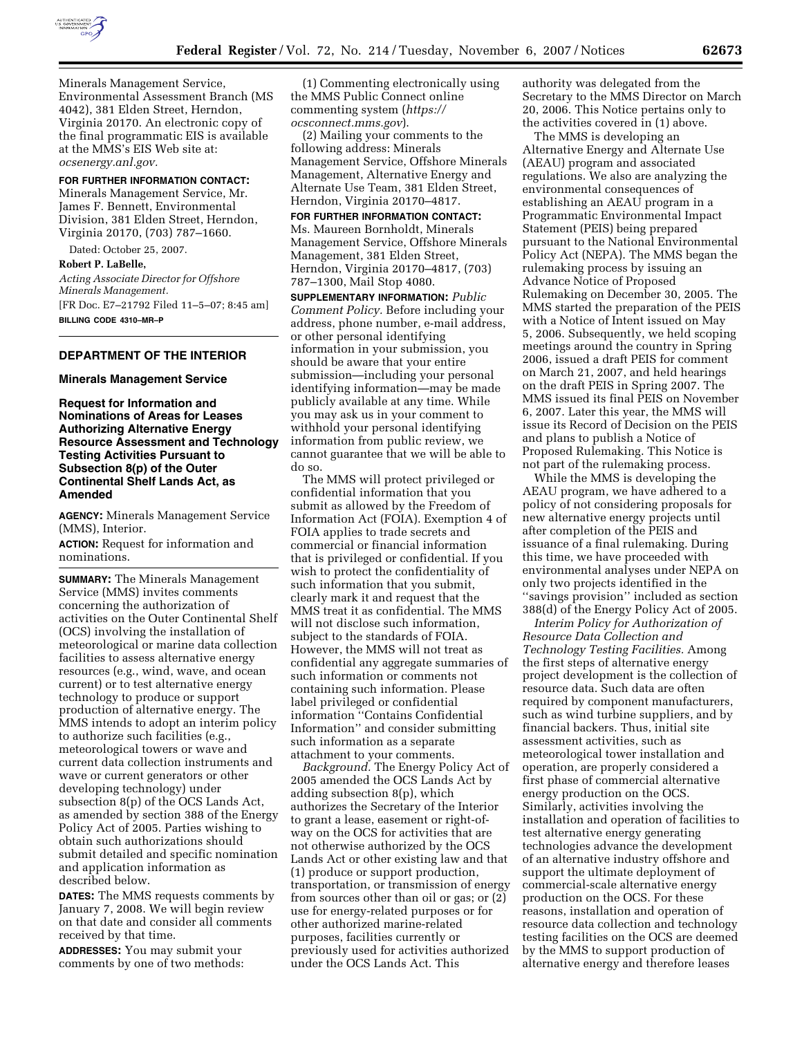

Minerals Management Service, Environmental Assessment Branch (MS 4042), 381 Elden Street, Herndon, Virginia 20170. An electronic copy of the final programmatic EIS is available at the MMS's EIS Web site at: *ocsenergy.anl.gov.* 

# **FOR FURTHER INFORMATION CONTACT:**

Minerals Management Service, Mr. James F. Bennett, Environmental Division, 381 Elden Street, Herndon, Virginia 20170, (703) 787–1660.

Dated: October 25, 2007.

#### **Robert P. LaBelle,**

*Acting Associate Director for Offshore Minerals Management.*  [FR Doc. E7–21792 Filed 11–5–07; 8:45 am] **BILLING CODE 4310–MR–P** 

## **DEPARTMENT OF THE INTERIOR**

#### **Minerals Management Service**

**Request for Information and Nominations of Areas for Leases Authorizing Alternative Energy Resource Assessment and Technology Testing Activities Pursuant to Subsection 8(p) of the Outer Continental Shelf Lands Act, as Amended** 

**AGENCY:** Minerals Management Service (MMS), Interior.

**ACTION:** Request for information and nominations.

**SUMMARY:** The Minerals Management Service (MMS) invites comments concerning the authorization of activities on the Outer Continental Shelf (OCS) involving the installation of meteorological or marine data collection facilities to assess alternative energy resources (e.g., wind, wave, and ocean current) or to test alternative energy technology to produce or support production of alternative energy. The MMS intends to adopt an interim policy to authorize such facilities (e.g., meteorological towers or wave and current data collection instruments and wave or current generators or other developing technology) under subsection 8(p) of the OCS Lands Act, as amended by section 388 of the Energy Policy Act of 2005. Parties wishing to obtain such authorizations should submit detailed and specific nomination and application information as described below.

**DATES:** The MMS requests comments by January 7, 2008. We will begin review on that date and consider all comments received by that time.

**ADDRESSES:** You may submit your comments by one of two methods:

(1) Commenting electronically using the MMS Public Connect online commenting system (*https:// ocsconnect.mms.gov*).

(2) Mailing your comments to the following address: Minerals Management Service, Offshore Minerals Management, Alternative Energy and Alternate Use Team, 381 Elden Street, Herndon, Virginia 20170–4817.

**FOR FURTHER INFORMATION CONTACT:**  Ms. Maureen Bornholdt, Minerals Management Service, Offshore Minerals Management, 381 Elden Street, Herndon, Virginia 20170–4817, (703) 787–1300, Mail Stop 4080.

**SUPPLEMENTARY INFORMATION:** *Public Comment Policy.* Before including your address, phone number, e-mail address, or other personal identifying information in your submission, you should be aware that your entire submission—including your personal identifying information—may be made publicly available at any time. While you may ask us in your comment to withhold your personal identifying information from public review, we cannot guarantee that we will be able to do so.

The MMS will protect privileged or confidential information that you submit as allowed by the Freedom of Information Act (FOIA). Exemption 4 of FOIA applies to trade secrets and commercial or financial information that is privileged or confidential. If you wish to protect the confidentiality of such information that you submit, clearly mark it and request that the MMS treat it as confidential. The MMS will not disclose such information, subject to the standards of FOIA. However, the MMS will not treat as confidential any aggregate summaries of such information or comments not containing such information. Please label privileged or confidential information ''Contains Confidential Information'' and consider submitting such information as a separate attachment to your comments.

*Background.* The Energy Policy Act of 2005 amended the OCS Lands Act by adding subsection 8(p), which authorizes the Secretary of the Interior to grant a lease, easement or right-ofway on the OCS for activities that are not otherwise authorized by the OCS Lands Act or other existing law and that (1) produce or support production, transportation, or transmission of energy from sources other than oil or gas; or (2) use for energy-related purposes or for other authorized marine-related purposes, facilities currently or previously used for activities authorized under the OCS Lands Act. This

authority was delegated from the Secretary to the MMS Director on March 20, 2006. This Notice pertains only to the activities covered in (1) above.

The MMS is developing an Alternative Energy and Alternate Use (AEAU) program and associated regulations. We also are analyzing the environmental consequences of establishing an AEAU program in a Programmatic Environmental Impact Statement (PEIS) being prepared pursuant to the National Environmental Policy Act (NEPA). The MMS began the rulemaking process by issuing an Advance Notice of Proposed Rulemaking on December 30, 2005. The MMS started the preparation of the PEIS with a Notice of Intent issued on May 5, 2006. Subsequently, we held scoping meetings around the country in Spring 2006, issued a draft PEIS for comment on March 21, 2007, and held hearings on the draft PEIS in Spring 2007. The MMS issued its final PEIS on November 6, 2007. Later this year, the MMS will issue its Record of Decision on the PEIS and plans to publish a Notice of Proposed Rulemaking. This Notice is not part of the rulemaking process.

While the MMS is developing the AEAU program, we have adhered to a policy of not considering proposals for new alternative energy projects until after completion of the PEIS and issuance of a final rulemaking. During this time, we have proceeded with environmental analyses under NEPA on only two projects identified in the ''savings provision'' included as section 388(d) of the Energy Policy Act of 2005.

*Interim Policy for Authorization of Resource Data Collection and Technology Testing Facilities.* Among the first steps of alternative energy project development is the collection of resource data. Such data are often required by component manufacturers, such as wind turbine suppliers, and by financial backers. Thus, initial site assessment activities, such as meteorological tower installation and operation, are properly considered a first phase of commercial alternative energy production on the OCS. Similarly, activities involving the installation and operation of facilities to test alternative energy generating technologies advance the development of an alternative industry offshore and support the ultimate deployment of commercial-scale alternative energy production on the OCS. For these reasons, installation and operation of resource data collection and technology testing facilities on the OCS are deemed by the MMS to support production of alternative energy and therefore leases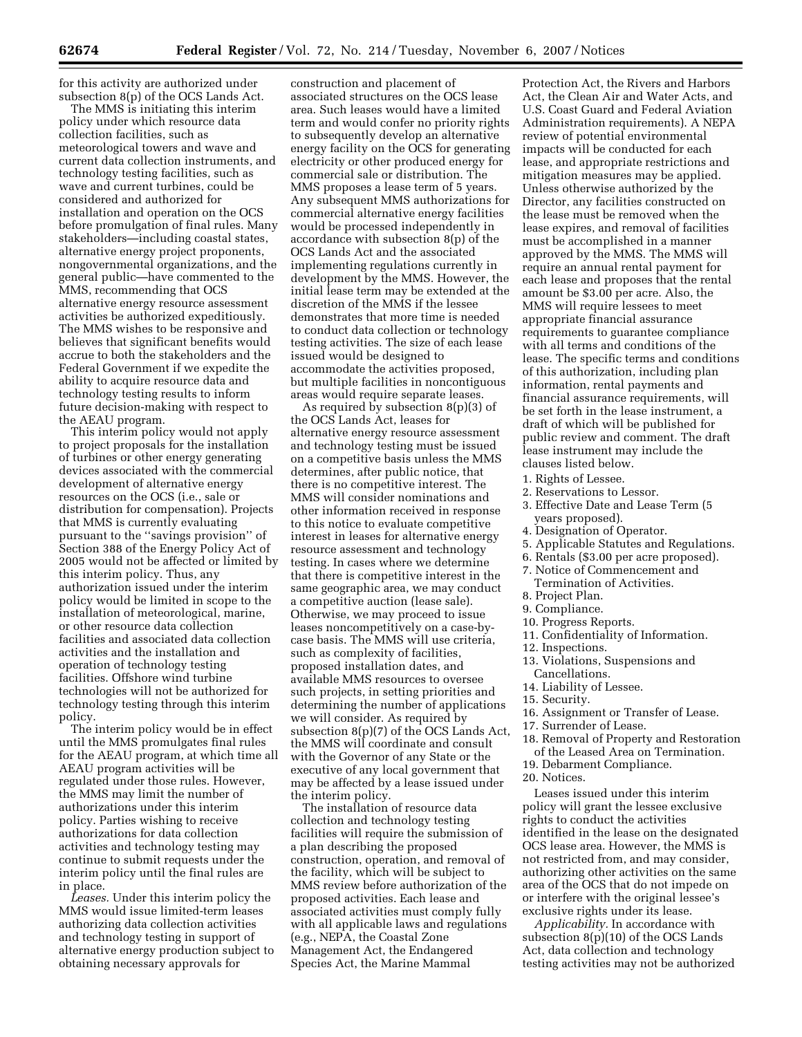for this activity are authorized under subsection 8(p) of the OCS Lands Act.

The MMS is initiating this interim policy under which resource data collection facilities, such as meteorological towers and wave and current data collection instruments, and technology testing facilities, such as wave and current turbines, could be considered and authorized for installation and operation on the OCS before promulgation of final rules. Many stakeholders—including coastal states, alternative energy project proponents, nongovernmental organizations, and the general public—have commented to the MMS, recommending that OCS alternative energy resource assessment activities be authorized expeditiously. The MMS wishes to be responsive and believes that significant benefits would accrue to both the stakeholders and the Federal Government if we expedite the ability to acquire resource data and technology testing results to inform future decision-making with respect to the AEAU program.

This interim policy would not apply to project proposals for the installation of turbines or other energy generating devices associated with the commercial development of alternative energy resources on the OCS (i.e., sale or distribution for compensation). Projects that MMS is currently evaluating pursuant to the ''savings provision'' of Section 388 of the Energy Policy Act of 2005 would not be affected or limited by this interim policy. Thus, any authorization issued under the interim policy would be limited in scope to the installation of meteorological, marine, or other resource data collection facilities and associated data collection activities and the installation and operation of technology testing facilities. Offshore wind turbine technologies will not be authorized for technology testing through this interim policy.

The interim policy would be in effect until the MMS promulgates final rules for the AEAU program, at which time all AEAU program activities will be regulated under those rules. However, the MMS may limit the number of authorizations under this interim policy. Parties wishing to receive authorizations for data collection activities and technology testing may continue to submit requests under the interim policy until the final rules are in place.

*Leases.* Under this interim policy the MMS would issue limited-term leases authorizing data collection activities and technology testing in support of alternative energy production subject to obtaining necessary approvals for

construction and placement of associated structures on the OCS lease area. Such leases would have a limited term and would confer no priority rights to subsequently develop an alternative energy facility on the OCS for generating electricity or other produced energy for commercial sale or distribution. The MMS proposes a lease term of 5 years. Any subsequent MMS authorizations for commercial alternative energy facilities would be processed independently in accordance with subsection 8(p) of the OCS Lands Act and the associated implementing regulations currently in development by the MMS. However, the initial lease term may be extended at the discretion of the MMS if the lessee demonstrates that more time is needed to conduct data collection or technology testing activities. The size of each lease issued would be designed to accommodate the activities proposed, but multiple facilities in noncontiguous areas would require separate leases.

As required by subsection 8(p)(3) of the OCS Lands Act, leases for alternative energy resource assessment and technology testing must be issued on a competitive basis unless the MMS determines, after public notice, that there is no competitive interest. The MMS will consider nominations and other information received in response to this notice to evaluate competitive interest in leases for alternative energy resource assessment and technology testing. In cases where we determine that there is competitive interest in the same geographic area, we may conduct a competitive auction (lease sale). Otherwise, we may proceed to issue leases noncompetitively on a case-bycase basis. The MMS will use criteria, such as complexity of facilities, proposed installation dates, and available MMS resources to oversee such projects, in setting priorities and determining the number of applications we will consider. As required by subsection 8(p)(7) of the OCS Lands Act, the MMS will coordinate and consult with the Governor of any State or the executive of any local government that may be affected by a lease issued under the interim policy.

The installation of resource data collection and technology testing facilities will require the submission of a plan describing the proposed construction, operation, and removal of the facility, which will be subject to MMS review before authorization of the proposed activities. Each lease and associated activities must comply fully with all applicable laws and regulations (e.g., NEPA, the Coastal Zone Management Act, the Endangered Species Act, the Marine Mammal

Protection Act, the Rivers and Harbors Act, the Clean Air and Water Acts, and U.S. Coast Guard and Federal Aviation Administration requirements). A NEPA review of potential environmental impacts will be conducted for each lease, and appropriate restrictions and mitigation measures may be applied. Unless otherwise authorized by the Director, any facilities constructed on the lease must be removed when the lease expires, and removal of facilities must be accomplished in a manner approved by the MMS. The MMS will require an annual rental payment for each lease and proposes that the rental amount be \$3.00 per acre. Also, the MMS will require lessees to meet appropriate financial assurance requirements to guarantee compliance with all terms and conditions of the lease. The specific terms and conditions of this authorization, including plan information, rental payments and financial assurance requirements, will be set forth in the lease instrument, a draft of which will be published for public review and comment. The draft lease instrument may include the clauses listed below.

- 1. Rights of Lessee.
- 2. Reservations to Lessor.
- 3. Effective Date and Lease Term (5 years proposed).
- 4. Designation of Operator.
- 5. Applicable Statutes and Regulations.
- 6. Rentals (\$3.00 per acre proposed).
- 7. Notice of Commencement and Termination of Activities.
- 8. Project Plan.
- 9. Compliance.
- 10. Progress Reports.
- 11. Confidentiality of Information.
- 12. Inspections.
- 13. Violations, Suspensions and Cancellations.
- 14. Liability of Lessee.
- 15. Security.
- 16. Assignment or Transfer of Lease.
- 17. Surrender of Lease.
- 18. Removal of Property and Restoration of the Leased Area on Termination.
- 19. Debarment Compliance.
- 20. Notices.

Leases issued under this interim policy will grant the lessee exclusive rights to conduct the activities identified in the lease on the designated OCS lease area. However, the MMS is not restricted from, and may consider, authorizing other activities on the same area of the OCS that do not impede on or interfere with the original lessee's exclusive rights under its lease.

*Applicability.* In accordance with subsection 8(p)(10) of the OCS Lands Act, data collection and technology testing activities may not be authorized